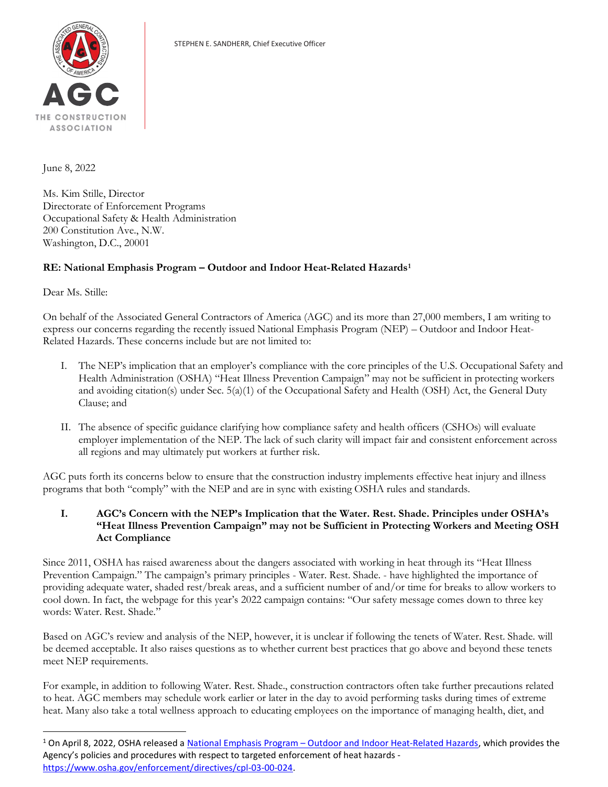

June 8, 2022

Ms. Kim Stille, Director Directorate of Enforcement Programs Occupational Safety & Health Administration 200 Constitution Ave., N.W. Washington, D.C., 20001

## RE: National Emphasis Program - Outdoor and Indoor Heat-Related Hazards<sup>1</sup>

Dear Ms. Stille:

On behalf of the Associated General Contractors of America (AGC) and its more than 27,000 members, I am writing to express our concerns regarding the recently issued National Emphasis Program (NEP) – Outdoor and Indoor Heat-Related Hazards. These concerns include but are not limited to:

- I. The NEP's implication that an employer's compliance with the core principles of the U.S. Occupational Safety and Health Administration (OSHA) "Heat Illness Prevention Campaign" may not be sufficient in protecting workers and avoiding citation(s) under Sec. 5(a)(1) of the Occupational Safety and Health (OSH) Act, the General Duty Clause; and
- II. The absence of specific guidance clarifying how compliance safety and health officers (CSHOs) will evaluate employer implementation of the NEP. The lack of such clarity will impact fair and consistent enforcement across all regions and may ultimately put workers at further risk.

AGC puts forth its concerns below to ensure that the construction industry implements effective heat injury and illness programs that both "comply" with the NEP and are in sync with existing OSHA rules and standards.

I. AGC's Concern with the NEP's Implication that the Water. Rest. Shade. Principles under OSHA's "Heat Illness Prevention Campaign" may not be Sufficient in Protecting Workers and Meeting OSH Act Compliance

Since 2011, OSHA has raised awareness about the dangers associated with working in heat through its "Heat Illness Prevention Campaign." The campaign's primary principles - Water. Rest. Shade. - have highlighted the importance of providing adequate water, shaded rest/break areas, and a sufficient number of and/or time for breaks to allow workers to cool down. In fact, the webpage for this year's 2022 campaign contains: "Our safety message comes down to three key words: Water. Rest. Shade."

Based on AGC's review and analysis of the NEP, however, it is unclear if following the tenets of Water. Rest. Shade. will be deemed acceptable. It also raises questions as to whether current best practices that go above and beyond these tenets meet NEP requirements.

For example, in addition to following Water. Rest. Shade., construction contractors often take further precautions related to heat. AGC members may schedule work earlier or later in the day to avoid performing tasks during times of extreme heat. Many also take a total wellness approach to educating employees on the importance of managing health, diet, and

<sup>&</sup>lt;sup>1</sup> On April 8, 2022, OSHA released a National Emphasis Program – Outdoor and Indoor Heat-Related Hazards, which provides the Agency's policies and procedures with respect to targeted enforcement of heat hazards https://www.osha.gov/enforcement/directives/cpl-03-00-024.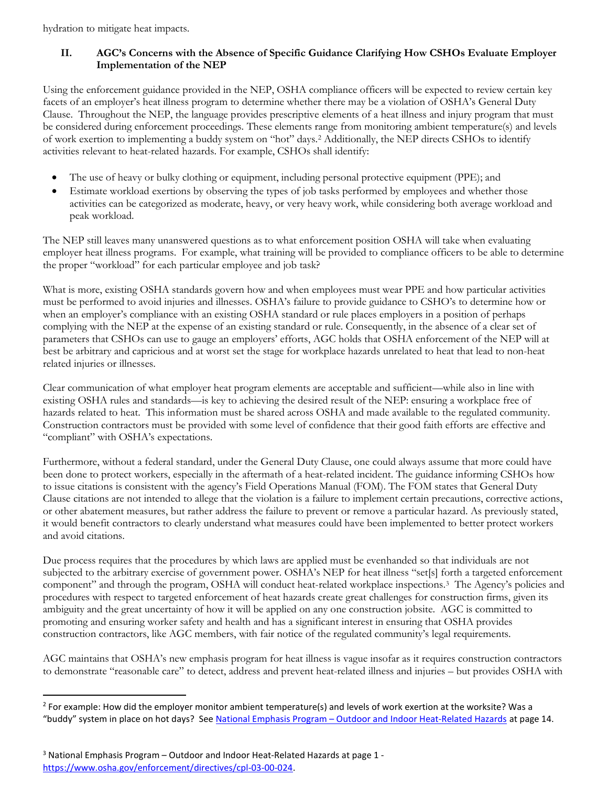hydration to mitigate heat impacts.

## II. AGC's Concerns with the Absence of Specific Guidance Clarifying How CSHOs Evaluate Employer Implementation of the NEP

Using the enforcement guidance provided in the NEP, OSHA compliance officers will be expected to review certain key facets of an employer's heat illness program to determine whether there may be a violation of OSHA's General Duty Clause. Throughout the NEP, the language provides prescriptive elements of a heat illness and injury program that must be considered during enforcement proceedings. These elements range from monitoring ambient temperature(s) and levels of work exertion to implementing a buddy system on "hot" days.<sup>2</sup> Additionally, the NEP directs CSHOs to identify activities relevant to heat-related hazards. For example, CSHOs shall identify:

- The use of heavy or bulky clothing or equipment, including personal protective equipment (PPE); and
- Estimate workload exertions by observing the types of job tasks performed by employees and whether those activities can be categorized as moderate, heavy, or very heavy work, while considering both average workload and peak workload.

The NEP still leaves many unanswered questions as to what enforcement position OSHA will take when evaluating employer heat illness programs. For example, what training will be provided to compliance officers to be able to determine the proper "workload" for each particular employee and job task?

What is more, existing OSHA standards govern how and when employees must wear PPE and how particular activities must be performed to avoid injuries and illnesses. OSHA's failure to provide guidance to CSHO's to determine how or when an employer's compliance with an existing OSHA standard or rule places employers in a position of perhaps complying with the NEP at the expense of an existing standard or rule. Consequently, in the absence of a clear set of parameters that CSHOs can use to gauge an employers' efforts, AGC holds that OSHA enforcement of the NEP will at best be arbitrary and capricious and at worst set the stage for workplace hazards unrelated to heat that lead to non-heat related injuries or illnesses.

Clear communication of what employer heat program elements are acceptable and sufficient—while also in line with existing OSHA rules and standards—is key to achieving the desired result of the NEP: ensuring a workplace free of hazards related to heat. This information must be shared across OSHA and made available to the regulated community. Construction contractors must be provided with some level of confidence that their good faith efforts are effective and "compliant" with OSHA's expectations.

Furthermore, without a federal standard, under the General Duty Clause, one could always assume that more could have been done to protect workers, especially in the aftermath of a heat-related incident. The guidance informing CSHOs how to issue citations is consistent with the agency's Field Operations Manual (FOM). The FOM states that General Duty Clause citations are not intended to allege that the violation is a failure to implement certain precautions, corrective actions, or other abatement measures, but rather address the failure to prevent or remove a particular hazard. As previously stated, it would benefit contractors to clearly understand what measures could have been implemented to better protect workers and avoid citations.

Due process requires that the procedures by which laws are applied must be evenhanded so that individuals are not subjected to the arbitrary exercise of government power. OSHA's NEP for heat illness "set[s] forth a targeted enforcement component" and through the program, OSHA will conduct heat-related workplace inspections.<sup>3</sup> The Agency's policies and procedures with respect to targeted enforcement of heat hazards create great challenges for construction firms, given its ambiguity and the great uncertainty of how it will be applied on any one construction jobsite. AGC is committed to promoting and ensuring worker safety and health and has a significant interest in ensuring that OSHA provides construction contractors, like AGC members, with fair notice of the regulated community's legal requirements.

AGC maintains that OSHA's new emphasis program for heat illness is vague insofar as it requires construction contractors to demonstrate "reasonable care" to detect, address and prevent heat-related illness and injuries – but provides OSHA with

<sup>&</sup>lt;sup>2</sup> For example: How did the employer monitor ambient temperature(s) and levels of work exertion at the worksite? Was a "buddy" system in place on hot days? See National Emphasis Program - Outdoor and Indoor Heat-Related Hazards at page 14.

<sup>&</sup>lt;sup>3</sup> National Emphasis Program – Outdoor and Indoor Heat-Related Hazards at page 1 https://www.osha.gov/enforcement/directives/cpl-03-00-024.